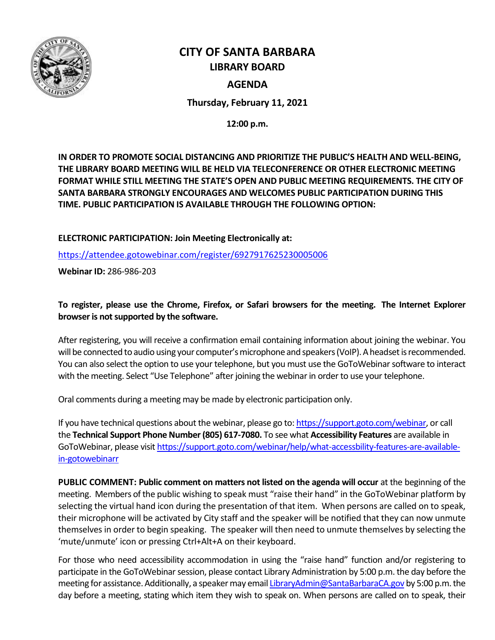

# **CITY OF SANTA BARBARA LIBRARY BOARD**

## **AGENDA**

**Thursday, February 11, 2021**

**12:00 p.m.**

**IN ORDER TO PROMOTE SOCIAL DISTANCING AND PRIORITIZE THE PUBLIC'S HEALTH AND WELL-BEING, THE LIBRARY BOARD MEETING WILL BE HELD VIA TELECONFERENCE OR OTHER ELECTRONIC MEETING FORMAT WHILE STILL MEETING THE STATE'S OPEN AND PUBLIC MEETING REQUIREMENTS. THE CITY OF SANTA BARBARA STRONGLY ENCOURAGES AND WELCOMES PUBLIC PARTICIPATION DURING THIS TIME. PUBLIC PARTICIPATION IS AVAILABLE THROUGH THE FOLLOWING OPTION:** 

**ELECTRONIC PARTICIPATION: Join Meeting Electronically at:** 

<https://attendee.gotowebinar.com/register/6927917625230005006>

**Webinar ID:** 286-986-203

**To register, please use the Chrome, Firefox, or Safari browsers for the meeting. The Internet Explorer**  browser is not supported by the software.

After registering, you will receive a confirmation email containing information about joining the webinar. You will be connected to audio using your computer's microphone and speakers (VoIP). A headset is recommended. You can also select the option to use your telephone, but you must use the GoToWebinar software to interact with the meeting. Select "Use Telephone" after joining the webinar in order to use your telephone.

Oral comments during a meeting may be made by electronic participation only.

If you have technical questions about the webinar, please go to[: https://support.goto.com/webinar,](https://support.goto.com/webinar) or call the **Technical Support Phone Number (805) 617-7080.** To see what **Accessibility Features** are available in GoToWebinar, please visi[t https://support.goto.com/webinar/help/what-accessbility-features-are-available](https://support.goto.com/webinar/help/what-accessbility-features-are-available-in-gotowebinarr)[in-gotowebinarr](https://support.goto.com/webinar/help/what-accessbility-features-are-available-in-gotowebinarr)

**PUBLIC COMMENT: Public comment on matters not listed on the agenda will occur at the beginning of the** meeting. Members of the public wishing to speak must "raise their hand" in the GoToWebinar platform by selecting the virtual hand icon during the presentation of that item. When persons are called on to speak, their microphone will be activated by City staff and the speaker will be notified that they can now unmute themselves in order to begin speaking. The speaker will then need to unmute themselves by selecting the 'mute/unmute' icon or pressing Ctrl+Alt+A on their keyboard.

For those who need accessibility accommodation in using the "raise hand" function and/or registering to participate in the GoToWebinar session, please contact Library Administration by 5:00 p.m. the day before the meeting for assistance. Additionally, a speaker may emai[l LibraryAdmin@SantaBarbaraCA.gov](mailto:LibraryAdmin@SantaBarbaraCA.gov) by 5:00 p.m. the day before a meeting, stating which item they wish to speak on. When persons are called on to speak, their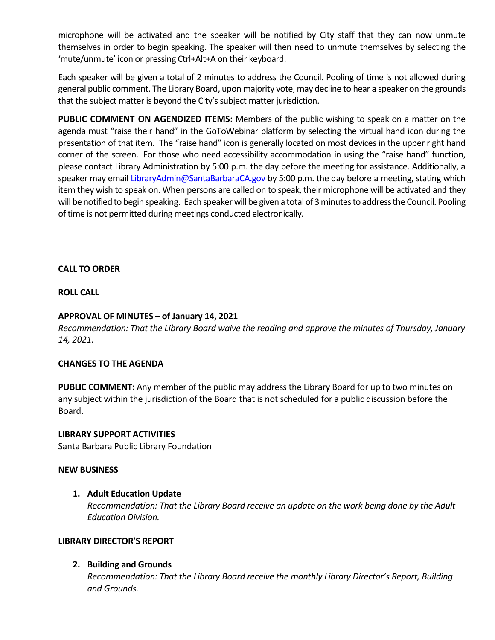microphone will be activated and the speaker will be notified by City staff that they can now unmute themselves in order to begin speaking. The speaker will then need to unmute themselves by selecting the 'mute/unmute' icon or pressing Ctrl+Alt+A on their keyboard.

Each speaker will be given a total of 2 minutes to address the Council. Pooling of time is not allowed during general public comment. The Library Board, upon majority vote, may decline to hear a speaker on the grounds that the subject matter is beyond the City's subject matter jurisdiction.

**PUBLIC COMMENT ON AGENDIZED ITEMS:** Members of the public wishing to speak on a matter on the agenda must "raise their hand" in the GoToWebinar platform by selecting the virtual hand icon during the presentation of that item. The "raise hand" icon is generally located on most devices in the upper right hand corner of the screen. For those who need accessibility accommodation in using the "raise hand" function, please contact Library Administration by 5:00 p.m. the day before the meeting for assistance. Additionally, a speaker may email [LibraryAdmin@SantaBarbaraCA.gov](mailto:LibraryAdmin@SantaBarbaraCA.gov) by 5:00 p.m. the day before a meeting, stating which item they wish to speak on. When persons are called on to speak, their microphone will be activated and they will be notified to begin speaking. Each speaker will be given a total of 3 minutes to address the Council. Pooling of time is not permitted during meetings conducted electronically.

## **CALL TO ORDER**

## **ROLL CALL**

## **APPROVAL OF MINUTES – of January 14, 2021**

*Recommendation: That the Library Board waive the reading and approve the minutes of Thursday, January 14, 2021.*

## **CHANGES TO THE AGENDA**

**PUBLIC COMMENT:** Any member of the public may address the Library Board for up to two minutes on any subject within the jurisdiction of the Board that is not scheduled for a public discussion before the Board.

#### **LIBRARY SUPPORT ACTIVITIES**

Santa Barbara Public Library Foundation

#### **NEW BUSINESS**

## **1. Adult Education Update**

*Recommendation: That the Library Board receive an update on the work being done by the Adult Education Division.* 

## **LIBRARY DIRECTOR'S REPORT**

## **2. Building and Grounds**

*Recommendation: That the Library Board receive the monthly Library Director's Report, Building and Grounds.*